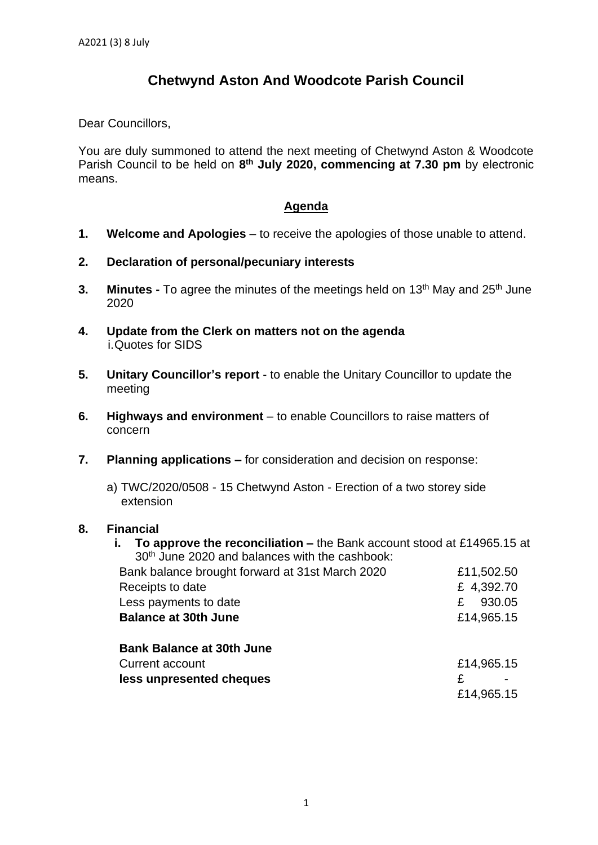## **Chetwynd Aston And Woodcote Parish Council**

Dear Councillors,

You are duly summoned to attend the next meeting of Chetwynd Aston & Woodcote Parish Council to be held on 8<sup>th</sup> July 2020, commencing at 7.30 pm by electronic means.

## **Agenda**

- **1. Welcome and Apologies** to receive the apologies of those unable to attend.
- **2. Declaration of personal/pecuniary interests**
- **3.** Minutes To agree the minutes of the meetings held on 13<sup>th</sup> May and 25<sup>th</sup> June 2020
- **4. Update from the Clerk on matters not on the agenda** i.Quotes for SIDS
- **5. Unitary Councillor's report** to enable the Unitary Councillor to update the meeting
- **6. Highways and environment** to enable Councillors to raise matters of concern
- **7. Planning applications –** for consideration and decision on response:
	- a) TWC/2020/0508 15 Chetwynd Aston Erection of a two storey side extension

## **8. Financial**

**i. To approve the reconciliation –** the Bank account stood at £14965.15 at 30 th June 2020 and balances with the cashbook:

| Bank balance brought forward at 31st March 2020 | £11,502.50  |
|-------------------------------------------------|-------------|
| Receipts to date                                | £ 4,392.70  |
| Less payments to date                           | 930.05<br>£ |
| <b>Balance at 30th June</b>                     | £14,965.15  |
| <b>Bank Balance at 30th June</b>                |             |
| Current account                                 | £14,965.15  |
| less unpresented cheques                        | £           |
|                                                 | £14,965.15  |